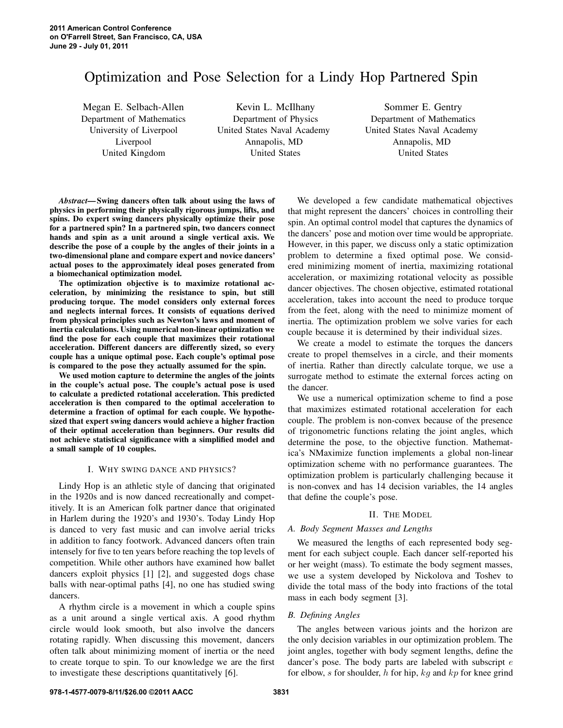# Optimization and Pose Selection for a Lindy Hop Partnered Spin

Megan E. Selbach-Allen Department of Mathematics University of Liverpool Liverpool United Kingdom

Kevin L. McIlhany Department of Physics United States Naval Academy Annapolis, MD United States

Sommer E. Gentry Department of Mathematics United States Naval Academy Annapolis, MD United States

Abstract— Swing dancers often talk about using the laws of physics in performing their physically rigorous jumps, lifts, and spins. Do expert swing dancers physically optimize their pose for a partnered spin? In a partnered spin, two dancers connect hands and spin as a unit around a single vertical axis. We describe the pose of a couple by the angles of their joints in a two-dimensional plane and compare expert and novice dancers' actual poses to the approximately ideal poses generated from a biomechanical optimization model.

The optimization objective is to maximize rotational acceleration, by minimizing the resistance to spin, but still producing torque. The model considers only external forces and neglects internal forces. It consists of equations derived from physical principles such as Newton's laws and moment of inertia calculations. Using numerical non-linear optimization we find the pose for each couple that maximizes their rotational acceleration. Different dancers are differently sized, so every couple has a unique optimal pose. Each couple's optimal pose is compared to the pose they actually assumed for the spin.

We used motion capture to determine the angles of the joints in the couple's actual pose. The couple's actual pose is used to calculate a predicted rotational acceleration. This predicted acceleration is then compared to the optimal acceleration to determine a fraction of optimal for each couple. We hypothesized that expert swing dancers would achieve a higher fraction of their optimal acceleration than beginners. Our results did not achieve statistical significance with a simplified model and a small sample of 10 couples.

# I. WHY SWING DANCE AND PHYSICS?

Lindy Hop is an athletic style of dancing that originated in the 1920s and is now danced recreationally and competitively. It is an American folk partner dance that originated in Harlem during the 1920's and 1930's. Today Lindy Hop is danced to very fast music and can involve aerial tricks in addition to fancy footwork. Advanced dancers often train intensely for five to ten years before reaching the top levels of competition. While other authors have examined how ballet dancers exploit physics [1] [2], and suggested dogs chase balls with near-optimal paths [4], no one has studied swing dancers.

A rhythm circle is a movement in which a couple spins as a unit around a single vertical axis. A good rhythm circle would look smooth, but also involve the dancers rotating rapidly. When discussing this movement, dancers often talk about minimizing moment of inertia or the need to create torque to spin. To our knowledge we are the first to investigate these descriptions quantitatively [6].

We developed a few candidate mathematical objectives that might represent the dancers' choices in controlling their spin. An optimal control model that captures the dynamics of the dancers' pose and motion over time would be appropriate. However, in this paper, we discuss only a static optimization problem to determine a fixed optimal pose. We considered minimizing moment of inertia, maximizing rotational acceleration, or maximizing rotational velocity as possible dancer objectives. The chosen objective, estimated rotational acceleration, takes into account the need to produce torque from the feet, along with the need to minimize moment of inertia. The optimization problem we solve varies for each couple because it is determined by their individual sizes.

We create a model to estimate the torques the dancers create to propel themselves in a circle, and their moments of inertia. Rather than directly calculate torque, we use a surrogate method to estimate the external forces acting on the dancer.

We use a numerical optimization scheme to find a pose that maximizes estimated rotational acceleration for each couple. The problem is non-convex because of the presence of trigonometric functions relating the joint angles, which determine the pose, to the objective function. Mathematica's NMaximize function implements a global non-linear optimization scheme with no performance guarantees. The optimization problem is particularly challenging because it is non-convex and has 14 decision variables, the 14 angles that define the couple's pose.

## II. THE MODEL

## A. Body Segment Masses and Lengths

We measured the lengths of each represented body segment for each subject couple. Each dancer self-reported his or her weight (mass). To estimate the body segment masses, we use a system developed by Nickolova and Toshev to divide the total mass of the body into fractions of the total mass in each body segment [3].

## B. Defining Angles

The angles between various joints and the horizon are the only decision variables in our optimization problem. The joint angles, together with body segment lengths, define the dancer's pose. The body parts are labeled with subscript  $e$ for elbow, s for shoulder, h for hip,  $kg$  and  $kp$  for knee grind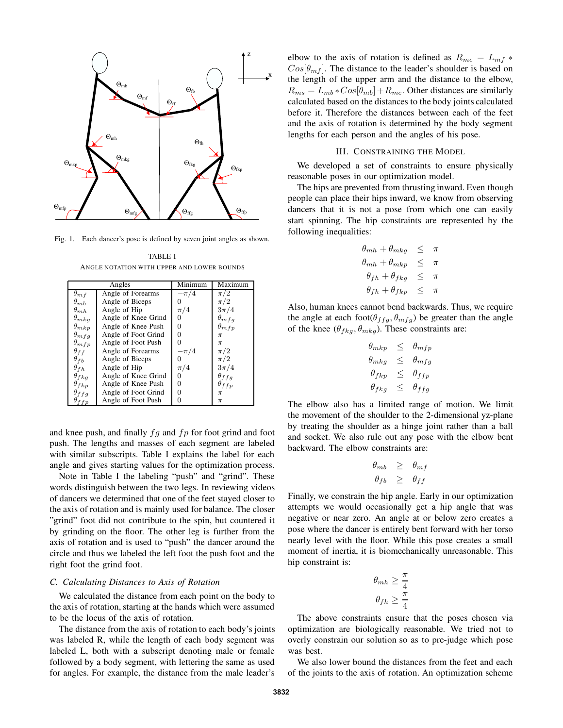

Fig. 1. Each dancer's pose is defined by seven joint angles as shown.

TABLE I ANGLE NOTATION WITH UPPER AND LOWER BOUNDS

| Angles         |                     | Minimum  | Maximum        |
|----------------|---------------------|----------|----------------|
| $\theta_{mf}$  | Angle of Forearms   | $-\pi/4$ | $\pi/2$        |
| $\theta_{mb}$  | Angle of Biceps     |          | $\pi/2$        |
| $\theta_{mh}$  | Angle of Hip        | $\pi/4$  | $3\pi/4$       |
| $\theta_{mkg}$ | Angle of Knee Grind |          | $\theta_{mfg}$ |
| $\theta_{mkp}$ | Angle of Knee Push  |          | $\theta_{mfp}$ |
| $\theta_{mfg}$ | Angle of Foot Grind |          | $\pi$          |
| $\theta_{mfp}$ | Angle of Foot Push  |          | π              |
| $\theta_{ff}$  | Angle of Forearms   | $-\pi/4$ | $\pi/2$        |
| $\theta_{fb}$  | Angle of Biceps     |          | $\pi/2$        |
| $\theta_{fh}$  | Angle of Hip        | $\pi/4$  | $3\pi/4$       |
| $\theta_{fkg}$ | Angle of Knee Grind |          | $\theta_{ffg}$ |
| $\theta_{fkp}$ | Angle of Knee Push  |          | $\theta_{ffp}$ |
| $\theta_{ffg}$ | Angle of Foot Grind |          | $\pi$          |
| $\theta_{ffp}$ | Angle of Foot Push  |          | $\pi$          |

and knee push, and finally  $fg$  and  $fp$  for foot grind and foot push. The lengths and masses of each segment are labeled with similar subscripts. Table I explains the label for each angle and gives starting values for the optimization process.

Note in Table I the labeling "push" and "grind". These words distinguish between the two legs. In reviewing videos of dancers we determined that one of the feet stayed closer to the axis of rotation and is mainly used for balance. The closer "grind" foot did not contribute to the spin, but countered it by grinding on the floor. The other leg is further from the axis of rotation and is used to "push" the dancer around the circle and thus we labeled the left foot the push foot and the right foot the grind foot.

# C. Calculating Distances to Axis of Rotation

We calculated the distance from each point on the body to the axis of rotation, starting at the hands which were assumed to be the locus of the axis of rotation.

The distance from the axis of rotation to each body's joints was labeled R, while the length of each body segment was labeled L, both with a subscript denoting male or female followed by a body segment, with lettering the same as used for angles. For example, the distance from the male leader's

elbow to the axis of rotation is defined as  $R_{me} = L_{mf} *$  $Cos[\theta_{mf}]$ . The distance to the leader's shoulder is based on the length of the upper arm and the distance to the elbow,  $R_{ms} = L_{mb} * Cos[\theta_{mb}] + R_{me}$ . Other distances are similarly calculated based on the distances to the body joints calculated before it. Therefore the distances between each of the feet and the axis of rotation is determined by the body segment lengths for each person and the angles of his pose.

## III. CONSTRAINING THE MODEL

We developed a set of constraints to ensure physically reasonable poses in our optimization model.

The hips are prevented from thrusting inward. Even though people can place their hips inward, we know from observing dancers that it is not a pose from which one can easily start spinning. The hip constraints are represented by the following inequalities:

$$
\theta_{mh} + \theta_{mkg} \leq \pi
$$
  
\n
$$
\theta_{mh} + \theta_{mkp} \leq \pi
$$
  
\n
$$
\theta_{fh} + \theta_{fkg} \leq \pi
$$
  
\n
$$
\theta_{fh} + \theta_{fkp} \leq \pi
$$

Also, human knees cannot bend backwards. Thus, we require the angle at each foot( $\theta_{ffg}, \theta_{mfg}$ ) be greater than the angle of the knee  $(\theta_{fkg}, \theta_{mkg})$ . These constraints are:

$$
\begin{array}{rcl}\n\theta_{mkp} & \leq & \theta_{mfp} \\
\theta_{mkg} & \leq & \theta_{mfg} \\
\theta_{fkp} & \leq & \theta_{ffp} \\
\theta_{fkg} & \leq & \theta_{ffg}\n\end{array}
$$

The elbow also has a limited range of motion. We limit the movement of the shoulder to the 2-dimensional yz-plane by treating the shoulder as a hinge joint rather than a ball and socket. We also rule out any pose with the elbow bent backward. The elbow constraints are:

$$
\begin{array}{rcl}\n\theta_{mb} & \geq & \theta_{mf} \\
\theta_{fb} & \geq & \theta_{ff}\n\end{array}
$$

Finally, we constrain the hip angle. Early in our optimization attempts we would occasionally get a hip angle that was negative or near zero. An angle at or below zero creates a pose where the dancer is entirely bent forward with her torso nearly level with the floor. While this pose creates a small moment of inertia, it is biomechanically unreasonable. This hip constraint is:

$$
\theta_{mh} \geq \frac{\pi}{4}
$$
  

$$
\theta_{fh} \geq \frac{\pi}{4}
$$

The above constraints ensure that the poses chosen via optimization are biologically reasonable. We tried not to overly constrain our solution so as to pre-judge which pose was best.

We also lower bound the distances from the feet and each of the joints to the axis of rotation. An optimization scheme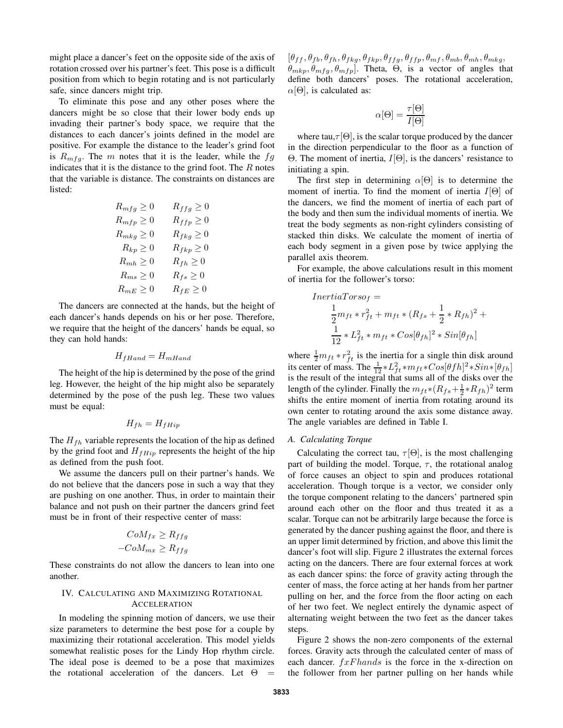might place a dancer's feet on the opposite side of the axis of rotation crossed over his partner's feet. This pose is a difficult position from which to begin rotating and is not particularly safe, since dancers might trip.

To eliminate this pose and any other poses where the dancers might be so close that their lower body ends up invading their partner's body space, we require that the distances to each dancer's joints defined in the model are positive. For example the distance to the leader's grind foot is  $R_{mfg}$ . The m notes that it is the leader, while the fg indicates that it is the distance to the grind foot. The  $R$  notes that the variable is distance. The constraints on distances are listed:

$$
R_{mfg} \ge 0 \t R_{ffg} \ge 0
$$
  
\n
$$
R_{mfp} \ge 0 \t R_{ffp} \ge 0
$$
  
\n
$$
R_{mkg} \ge 0 \t R_{fkg} \ge 0
$$
  
\n
$$
R_{kp} \ge 0 \t R_{fkp} \ge 0
$$
  
\n
$$
R_{mh} \ge 0 \t R_{fh} \ge 0
$$
  
\n
$$
R_{ms} \ge 0 \t R_{fs} \ge 0
$$
  
\n
$$
R_{mE} \ge 0 \t R_{fE} \ge 0
$$

The dancers are connected at the hands, but the height of each dancer's hands depends on his or her pose. Therefore, we require that the height of the dancers' hands be equal, so they can hold hands:

$$
H_{fHand} = H_{mHand}
$$

The height of the hip is determined by the pose of the grind leg. However, the height of the hip might also be separately determined by the pose of the push leg. These two values must be equal:

$$
H_{fh} = H_{f Hip}
$$

The  $H_{fh}$  variable represents the location of the hip as defined by the grind foot and  $H_{fHip}$  represents the height of the hip as defined from the push foot.

We assume the dancers pull on their partner's hands. We do not believe that the dancers pose in such a way that they are pushing on one another. Thus, in order to maintain their balance and not push on their partner the dancers grind feet must be in front of their respective center of mass:

$$
CoM_{fx} \ge R_{ffg}
$$

$$
-CoM_{mx} \ge R_{ffg}
$$

These constraints do not allow the dancers to lean into one another.

# IV. CALCULATING AND MAXIMIZING ROTATIONAL ACCELERATION

In modeling the spinning motion of dancers, we use their size parameters to determine the best pose for a couple by maximizing their rotational acceleration. This model yields somewhat realistic poses for the Lindy Hop rhythm circle. The ideal pose is deemed to be a pose that maximizes the rotational acceleration of the dancers. Let  $\Theta$  =

 $[\theta_{ff}, \theta_{fb}, \theta_{fh}, \theta_{fkg}, \theta_{fkp}, \theta_{ffg}, \theta_{ffp}, \theta_{mf}, \theta_{mb}, \theta_{mkg},$  $\theta_{mkp}, \theta_{mfg}, \theta_{mfp}$ . Theta,  $\Theta$ , is a vector of angles that define both dancers' poses. The rotational acceleration,  $\alpha[\Theta]$ , is calculated as:

$$
\alpha[\Theta] = \frac{\tau[\Theta]}{I[\Theta]}
$$

where tau, $\tau[\Theta]$ , is the scalar torque produced by the dancer in the direction perpendicular to the floor as a function of Θ. The moment of inertia, I[Θ], is the dancers' resistance to initiating a spin.

The first step in determining  $\alpha[\Theta]$  is to determine the moment of inertia. To find the moment of inertia I[Θ] of the dancers, we find the moment of inertia of each part of the body and then sum the individual moments of inertia. We treat the body segments as non-right cylinders consisting of stacked thin disks. We calculate the moment of inertia of each body segment in a given pose by twice applying the parallel axis theorem.

For example, the above calculations result in this moment of inertia for the follower's torso:

$$
Inertia Tors of =
$$
  
\n
$$
\frac{1}{2}m_{ft} * r_{ft}^{2} + m_{ft} * (R_{fs} + \frac{1}{2} * R_{fh})^{2} +
$$
  
\n
$$
\frac{1}{12} * L_{ft}^{2} * m_{ft} * Cos[\theta_{fh}]^{2} * Sin[\theta_{fh}]
$$

where  $\frac{1}{2}m_{ft} * r_{ft}^2$  is the inertia for a single thin disk around its center of mass. The  $\frac{1}{12} * L_{ft}^2 * m_{ft} * Cos[\theta f h]^2 * Sin *[\theta_{fh}]$ is the result of the integral that sums all of the disks over the length of the cylinder. Finally the  $m_{ft}$  \*  $(R_{fs} + \frac{1}{2}$  \*  $R_{fh})^2$  term shifts the entire moment of inertia from rotating around its own center to rotating around the axis some distance away. The angle variables are defined in Table I.

# A. Calculating Torque

Calculating the correct tau,  $\tau[\Theta]$ , is the most challenging part of building the model. Torque,  $\tau$ , the rotational analog of force causes an object to spin and produces rotational acceleration. Though torque is a vector, we consider only the torque component relating to the dancers' partnered spin around each other on the floor and thus treated it as a scalar. Torque can not be arbitrarily large because the force is generated by the dancer pushing against the floor, and there is an upper limit determined by friction, and above this limit the dancer's foot will slip. Figure 2 illustrates the external forces acting on the dancers. There are four external forces at work as each dancer spins: the force of gravity acting through the center of mass, the force acting at her hands from her partner pulling on her, and the force from the floor acting on each of her two feet. We neglect entirely the dynamic aspect of alternating weight between the two feet as the dancer takes steps.

Figure 2 shows the non-zero components of the external forces. Gravity acts through the calculated center of mass of each dancer.  $f x F$  hands is the force in the x-direction on the follower from her partner pulling on her hands while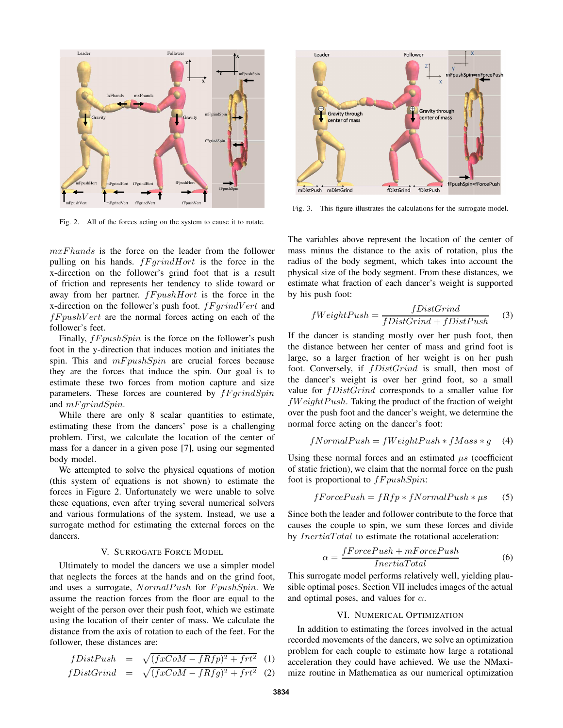

Fig. 2. All of the forces acting on the system to cause it to rotate.

 $mxF$  hands is the force on the leader from the follower pulling on his hands.  $fFarindHort$  is the force in the x-direction on the follower's grind foot that is a result of friction and represents her tendency to slide toward or away from her partner.  $fF pushHort$  is the force in the x-direction on the follower's push foot.  $fFqrindVert$  and  $fF pushVert$  are the normal forces acting on each of the follower's feet.

Finally,  $fFpushSpin$  is the force on the follower's push foot in the y-direction that induces motion and initiates the spin. This and  $mF pushSpin$  are crucial forces because they are the forces that induce the spin. Our goal is to estimate these two forces from motion capture and size parameters. These forces are countered by  $fFgrindSpin$ and  $mF$  grindSpin.

While there are only 8 scalar quantities to estimate, estimating these from the dancers' pose is a challenging problem. First, we calculate the location of the center of mass for a dancer in a given pose [7], using our segmented body model.

We attempted to solve the physical equations of motion (this system of equations is not shown) to estimate the forces in Figure 2. Unfortunately we were unable to solve these equations, even after trying several numerical solvers and various formulations of the system. Instead, we use a surrogate method for estimating the external forces on the dancers.

# V. SURROGATE FORCE MODEL

Ultimately to model the dancers we use a simpler model that neglects the forces at the hands and on the grind foot, and uses a surrogate,  $NormalPush$  for  $FpushSpin$ . We assume the reaction forces from the floor are equal to the weight of the person over their push foot, which we estimate using the location of their center of mass. We calculate the distance from the axis of rotation to each of the feet. For the follower, these distances are:

$$
fDistPush = \sqrt{(fxCoM - fRfp)^2 + frt^2} \quad (1)
$$

$$
fDistGrind = \sqrt{(fxCoM - fRfg)^2 + frt^2} \quad (2)
$$



Fig. 3. This figure illustrates the calculations for the surrogate model.

The variables above represent the location of the center of mass minus the distance to the axis of rotation, plus the radius of the body segment, which takes into account the physical size of the body segment. From these distances, we estimate what fraction of each dancer's weight is supported by his push foot:

$$
fWeightPush = \frac{fDistGrind}{fDistGrind + fDistPush} \tag{3}
$$

If the dancer is standing mostly over her push foot, then the distance between her center of mass and grind foot is large, so a larger fraction of her weight is on her push foot. Conversely, if  $fDistGrind$  is small, then most of the dancer's weight is over her grind foot, so a small value for fDistGrind corresponds to a smaller value for  $fWeightPush$ . Taking the product of the fraction of weight over the push foot and the dancer's weight, we determine the normal force acting on the dancer's foot:

$$
fNormalPush = fWeightPush * fMass * g \quad (4)
$$

Using these normal forces and an estimated  $\mu s$  (coefficient of static friction), we claim that the normal force on the push foot is proportional to  $fFpushSpin$ :

$$
fForcePush = fRfp * fNormalPush * \mu s \qquad (5)
$$

Since both the leader and follower contribute to the force that causes the couple to spin, we sum these forces and divide by *InertiaTotal* to estimate the rotational acceleration:

$$
\alpha = \frac{fForcePush + mForcePush}{InertiaTotal} \tag{6}
$$

This surrogate model performs relatively well, yielding plausible optimal poses. Section VII includes images of the actual and optimal poses, and values for  $\alpha$ .

#### VI. NUMERICAL OPTIMIZATION

In addition to estimating the forces involved in the actual recorded movements of the dancers, we solve an optimization problem for each couple to estimate how large a rotational acceleration they could have achieved. We use the NMaximize routine in Mathematica as our numerical optimization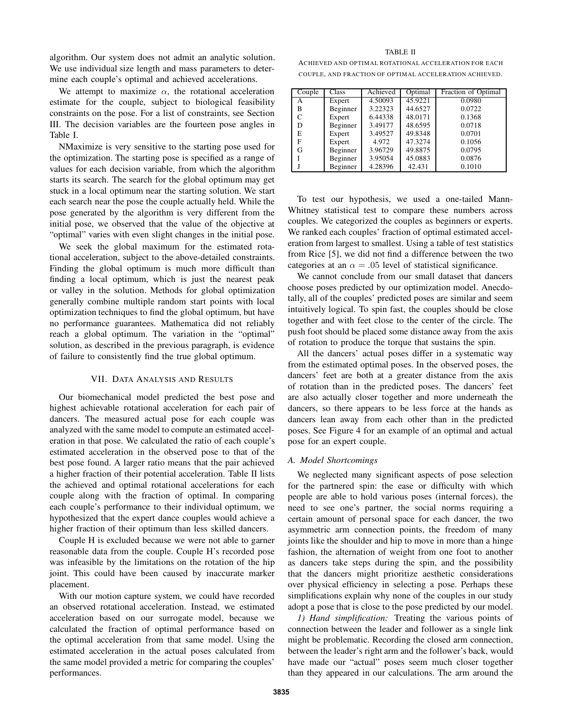algorithm. Our system does not admit an analytic solution. We use individual size length and mass parameters to determine each couple's optimal and achieved accelerations.

We attempt to maximize  $\alpha$ , the rotational acceleration estimate for the couple, subject to biological feasibility constraints on the pose. For a list of constraints, see Section III. The decision variables are the fourteen pose angles in Table I.

NMaximize is very sensitive to the starting pose used for the optimization. The starting pose is specified as a range of values for each decision variable, from which the algorithm starts its search. The search for the global optimum may get stuck in a local optimum near the starting solution. We start each search near the pose the couple actually held. While the pose generated by the algorithm is very different from the initial pose, we observed that the value of the objective at "optimal" varies with even slight changes in the initial pose.

We seek the global maximum for the estimated rotational acceleration, subject to the above-detailed constraints. Finding the global optimum is much more difficult than finding a local optimum, which is just the nearest peak or valley in the solution. Methods for global optimization generally combine multiple random start points with local optimization techniques to find the global optimum, but have no performance guarantees. Mathematica did not reliably reach a global optimum. The variation in the "optimal" solution, as described in the previous paragraph, is evidence of failure to consistently find the true global optimum.

## VII. DATA ANALYSIS AND RESULTS

Our biomechanical model predicted the best pose and highest achievable rotational acceleration for each pair of dancers. The measured actual pose for each couple was analyzed with the same model to compute an estimated acceleration in that pose. We calculated the ratio of each couple's estimated acceleration in the observed pose to that of the best pose found. A larger ratio means that the pair achieved a higher fraction of their potential acceleration. Table II lists the achieved and optimal rotational accelerations for each couple along with the fraction of optimal. In comparing each couple's performance to their individual optimum, we hypothesized that the expert dance couples would achieve a higher fraction of their optimum than less skilled dancers.

Couple H is excluded because we were not able to garner reasonable data from the couple. Couple H's recorded pose was infeasible by the limitations on the rotation of the hip joint. This could have been caused by inaccurate marker placement.

With our motion capture system, we could have recorded an observed rotational acceleration. Instead, we estimated acceleration based on our surrogate model, because we calculated the fraction of optimal performance based on the optimal acceleration from that same model. Using the estimated acceleration in the actual poses calculated from the same model provided a metric for comparing the couples' performances.

#### TABLE II

ACHIEVED AND OPTIMAL ROTATIONAL ACCELERATION FOR EACH COUPLE, AND FRACTION OF OPTIMAL ACCELERATION ACHIEVED.

| Couple | Class    | Achieved | Optimal | Fraction of Optimal |
|--------|----------|----------|---------|---------------------|
| А      | Expert   | 4.50093  | 45.9221 | 0.0980              |
| в      | Beginner | 3.22323  | 44.6527 | 0.0722              |
| C      | Expert   | 6.44338  | 48.0171 | 0.1368              |
| D      | Beginner | 3.49177  | 48.6595 | 0.0718              |
| E      | Expert   | 3.49527  | 49.8348 | 0.0701              |
| F      | Expert   | 4.972    | 47.3274 | 0.1056              |
| G      | Beginner | 3.96729  | 49.8875 | 0.0795              |
|        | Beginner | 3.95054  | 45.0883 | 0.0876              |
|        | Beginner | 4.28396  | 42.431  | 0.1010              |

To test our hypothesis, we used a one-tailed Mann-Whitney statistical test to compare these numbers across couples. We categorized the couples as beginners or experts. We ranked each couples' fraction of optimal estimated acceleration from largest to smallest. Using a table of test statistics from Rice [5], we did not find a difference between the two categories at an  $\alpha = .05$  level of statistical significance.

We cannot conclude from our small dataset that dancers choose poses predicted by our optimization model. Anecdotally, all of the couples' predicted poses are similar and seem intuitively logical. To spin fast, the couples should be close together and with feet close to the center of the circle. The push foot should be placed some distance away from the axis of rotation to produce the torque that sustains the spin.

All the dancers' actual poses differ in a systematic way from the estimated optimal poses. In the observed poses, the dancers' feet are both at a greater distance from the axis of rotation than in the predicted poses. The dancers' feet are also actually closer together and more underneath the dancers, so there appears to be less force at the hands as dancers lean away from each other than in the predicted poses. See Figure 4 for an example of an optimal and actual pose for an expert couple.

#### A. Model Shortcomings

We neglected many significant aspects of pose selection for the partnered spin: the ease or difficulty with which people are able to hold various poses (internal forces), the need to see one's partner, the social norms requiring a certain amount of personal space for each dancer, the two asymmetric arm connection points, the freedom of many joints like the shoulder and hip to move in more than a hinge fashion, the alternation of weight from one foot to another as dancers take steps during the spin, and the possibility that the dancers might prioritize aesthetic considerations over physical efficiency in selecting a pose. Perhaps these simplifications explain why none of the couples in our study adopt a pose that is close to the pose predicted by our model.

1) Hand simplification: Treating the various points of connection between the leader and follower as a single link might be problematic. Recording the closed arm connection, between the leader's right arm and the follower's back, would have made our "actual" poses seem much closer together than they appeared in our calculations. The arm around the